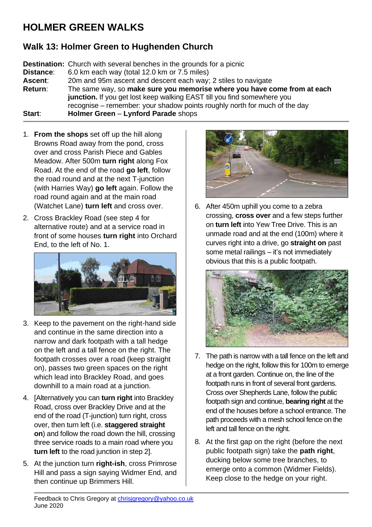## **HOLMER GREEN WALKS**

## **Walk 13: Holmer Green to Hughenden Church**

**Destination:** Church with several benches in the grounds for a picnic **Distance**: 6.0 km each way (total 12.0 km or 7.5 miles) **Ascent**: 20m and 95m ascent and descent each way; 2 stiles to navigate **Return**: The same way, so **make sure you memorise where you have come from at each junction.** If you get lost keep walking EAST till you find somewhere you recognise – remember: your shadow points roughly north for much of the day **Start**: **Holmer Green** – **Lynford Parade** shops

- 1. **From the shops** set off up the hill along Browns Road away from the pond, cross over and cross Parish Piece and Gables Meadow. After 500m **turn right** along Fox Road. At the end of the road **go left**, follow the road round and at the next T-junction (with Harries Way) **go left** again. Follow the road round again and at the main road (Watchet Lane) **turn left** and cross over.
- 2. Cross Brackley Road (see step 4 for alternative route) and at a service road in front of some houses **turn right** into Orchard End, to the left of No. 1.



- 3. Keep to the pavement on the right-hand side and continue in the same direction into a narrow and dark footpath with a tall hedge on the left and a tall fence on the right. The footpath crosses over a road (keep straight on), passes two green spaces on the right which lead into Brackley Road, and goes downhill to a main road at a junction.
- 4. [Alternatively you can **turn right** into Brackley Road, cross over Brackley Drive and at the end of the road (T-junction) turn right, cross over, then turn left (i.e. **staggered straight on**) and follow the road down the hill, crossing three service roads to a main road where you **turn left** to the road junction in step 2].
- 5. At the junction turn **right-ish**, cross Primrose Hill and pass a sign saying Widmer End, and then continue up Brimmers Hill.



6. After 450m uphill you come to a zebra crossing, **cross over** and a few steps further on **turn left** into Yew Tree Drive. This is an unmade road and at the end (100m) where it curves right into a drive, go **straight on** past some metal railings – it's not immediately obvious that this is a public footpath.



- 7. The path is narrow with a tall fence on the left and hedge on the right, follow this for 100m to emerge at a front garden. Continue on, the line of the footpath runs in front of several front gardens. Cross over Shepherds Lane, follow the public footpath sign and continue, **bearing right** at the end of the houses before a school entrance. The path proceeds with a mesh school fence on the left and tall fence on the right.
- 8. At the first gap on the right (before the next public footpath sign) take the **path right**, ducking below some tree branches, to emerge onto a common (Widmer Fields). Keep close to the hedge on your right.